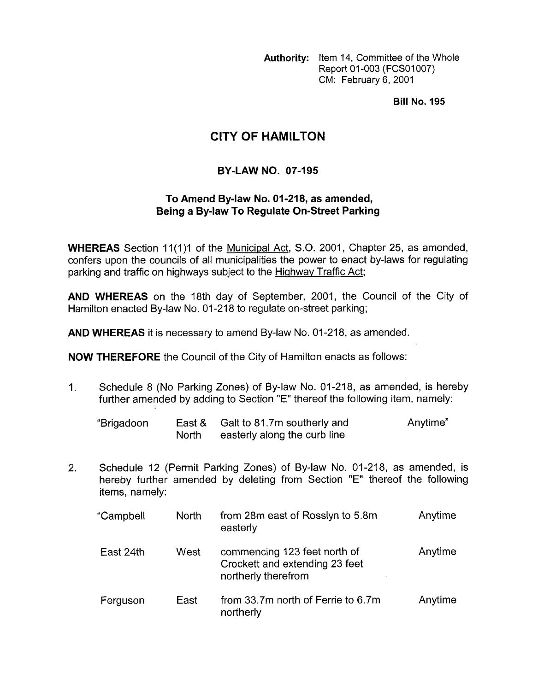**Authority:** Item 14, Committee of the Whole Report 01-003 (FCS01007) CM: February 6, 2001

**Bill No. 195** 

## **CITY OF HAMILTON**

## **BY-LAW NO. 07-195**

## To Amend By-law No. 01-218, as amended, **Being a By-law To Regulate On-Street Parking**

**WHEREAS** Section 11(1)1 of the Municipal Act, S.O. 2001, Chapter 25, as amended, confers upon the councils of all municipalities the power to enact by-laws for regulating parking and traffic on highways subject to the Hiqhwav Traffic Act;

**AND WHEREAS** on the 18th day of September, 2001, the Council of the City of Hamilton enacted By-law No. 01-218 to regulate on-street parking;

**AND WHEREAS** it is necessary to amend By-law No. 01-218, as amended.

**NOW THEREFORE** the Council of the City of Hamilton enacts as follows:

1. Schedule 8 (No Parking Zones) of By-law No. 01-218, as amended, is hereby further amended by adding to Section "E" thereof the following item, namely:

| "Brigadoon |       | East & Galt to 81.7m southerly and | Anytime" |
|------------|-------|------------------------------------|----------|
|            | North | easterly along the curb line       |          |

2. Schedule 12 (Permit Parking Zones) of By-law No. 01-218, as amended, is hereby further amended by deleting from Section "E" thereof the following items, namely:

| "Campbell | North | from 28m east of Rosslyn to 5.8m<br>easterly                                          | Anytime |
|-----------|-------|---------------------------------------------------------------------------------------|---------|
| East 24th | West  | commencing 123 feet north of<br>Crockett and extending 23 feet<br>northerly therefrom | Anytime |
| Ferguson  | East  | from 33.7m north of Ferrie to 6.7m<br>northerly                                       | Anytime |